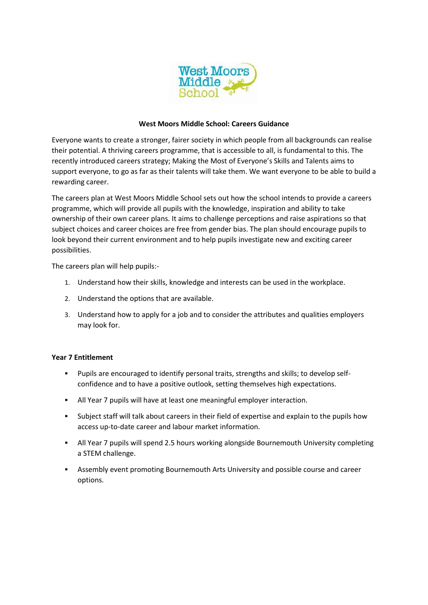

## **West Moors Middle School: Careers Guidance**

Everyone wants to create a stronger, fairer society in which people from all backgrounds can realise their potential. A thriving careers programme, that is accessible to all, is fundamental to this. The recently introduced careers strategy; Making the Most of Everyone's Skills and Talents aims to support everyone, to go as far as their talents will take them. We want everyone to be able to build a rewarding career.

The careers plan at West Moors Middle School sets out how the school intends to provide a careers programme, which will provide all pupils with the knowledge, inspiration and ability to take ownership of their own career plans. It aims to challenge perceptions and raise aspirations so that subject choices and career choices are free from gender bias. The plan should encourage pupils to look beyond their current environment and to help pupils investigate new and exciting career possibilities.

The careers plan will help pupils:-

- 1. Understand how their skills, knowledge and interests can be used in the workplace.
- 2. Understand the options that are available.
- 3. Understand how to apply for a job and to consider the attributes and qualities employers may look for.

## **Year 7 Entitlement**

- Pupils are encouraged to identify personal traits, strengths and skills; to develop selfconfidence and to have a positive outlook, setting themselves high expectations.
- All Year 7 pupils will have at least one meaningful employer interaction.
- Subject staff will talk about careers in their field of expertise and explain to the pupils how access up-to-date career and labour market information.
- All Year 7 pupils will spend 2.5 hours working alongside Bournemouth University completing a STEM challenge.
- Assembly event promoting Bournemouth Arts University and possible course and career options.